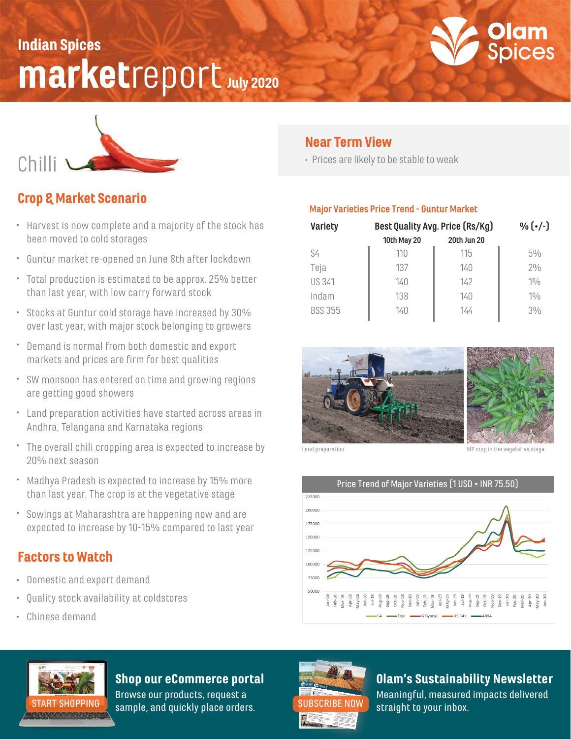## marketreport July 2020 Indian Spices





### Crop & Market Scenario

- Harvest is now complete and a majority of the stock has been moved to cold storages
- Guntur market re-opened on June 8th after lockdown
- Total production is estimated to be approx. 25% better than last year, with low carry forward stock
- Stocks at Guntur cold storage have increased by 30% over last year, with major stock belonging to growers
- Demand is normal from both domestic and export markets and prices are firm for best qualities
- SW monsoon has entered on time and growing regions are getting good showers
- Land preparation activities have started across areas in Andhra, Telangana and Karnataka regions
- The overall chili cropping area is expected to increase by 20% next season
- Madhya Pradesh is expected to increase by 15% more than last year. The crop is at the vegetative stage
- Sowings at Maharashtra are happening now and are expected to increase by 10-15% compared to last year

### Factors to Watch

- Domestic and export demand
- Quality stock availability at coldstores
- Chinese demand

### Near Term View

Prices are likely to be stable to weak

#### **Major Varieties Price Trend - Guntur Market**

| <b>Variety</b> | Best Quality Avg. Price (Rs/Kg) |                    | $\frac{0}{0}$ $(+/-)$ |
|----------------|---------------------------------|--------------------|-----------------------|
|                | <b>10th May 20</b>              | <b>20th Jun 20</b> |                       |
| S4             | 110                             | 115                | $5\%$                 |
| Teja           | 137                             | 140                | 20/0                  |
| US 341         | 140                             | 142                | 10/6                  |
| Indam          | 138                             | 140                | 10/6                  |
| <b>BSS 355</b> | 140                             | 144                | $3\%$                 |
|                |                                 |                    |                       |



Land preparation and the version of the version of the vegetative stage





### Shop our eCommerce portal

Browse our products, request a [START SHOPPING](https://olamspices.com/) sample, and quickly place orders. [SUBSCRIBE NOW](https://share.hsforms.com/1qaxzrnpDRHmIQ1AqIX0hyg3iok1?__hstc=259259733.7a648a28b6e5bb5b8de8b6e8a0a3fad3.1584392470278.1593636436910.1593643648028.183&__hssc=259259733.2.1593643648028&__hsfp=1112991701) straight to your inbox.



Olam's Sustainability Newsletter

Meaningful, measured impacts delivered